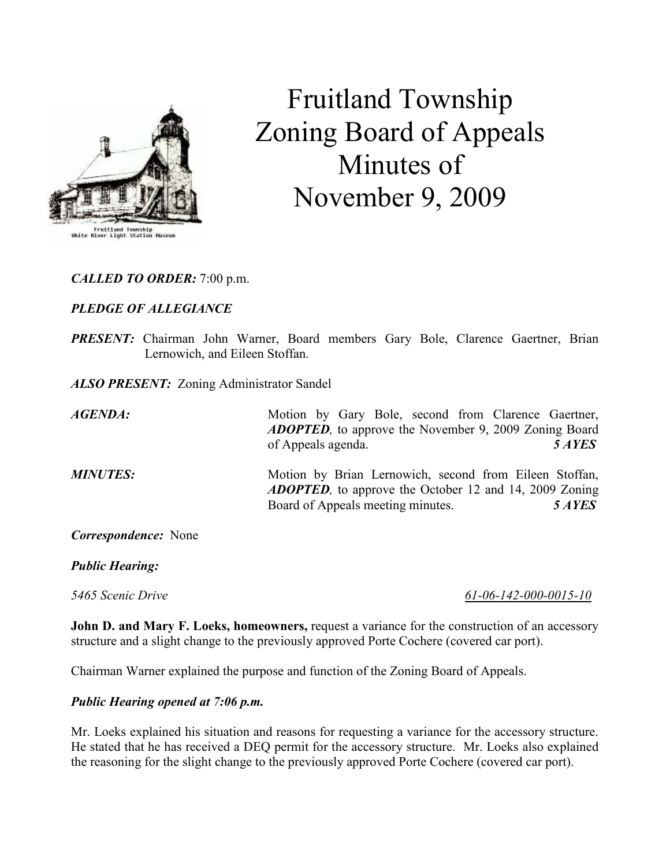

## Fruitland Township Zoning Board of Appeals Minutes of November 9, 2009

CALLED TO ORDER: 7:00 p.m.

## PLEDGE OF ALLEGIANCE

PRESENT: Chairman John Warner, Board members Gary Bole, Clarence Gaertner, Brian Lernowich, and Eileen Stoffan.

ALSO PRESENT: Zoning Administrator Sandel

AGENDA: Motion by Gary Bole, second from Clarence Gaertner, ADOPTED, to approve the November 9, 2009 Zoning Board of Appeals agenda. 5 AYES

MINUTES: Motion by Brian Lernowich, second from Eileen Stoffan, ADOPTED, to approve the October 12 and 14, 2009 Zoning Board of Appeals meeting minutes. 5 AYES

Correspondence: None

Public Hearing:

5465 Scenic Drive 61-06-142-000-0015-10

John D. and Mary F. Loeks, homeowners, request a variance for the construction of an accessory structure and a slight change to the previously approved Porte Cochere (covered car port).

Chairman Warner explained the purpose and function of the Zoning Board of Appeals.

## Public Hearing opened at 7:06 p.m.

Mr. Loeks explained his situation and reasons for requesting a variance for the accessory structure. He stated that he has received a DEQ permit for the accessory structure. Mr. Loeks also explained the reasoning for the slight change to the previously approved Porte Cochere (covered car port).